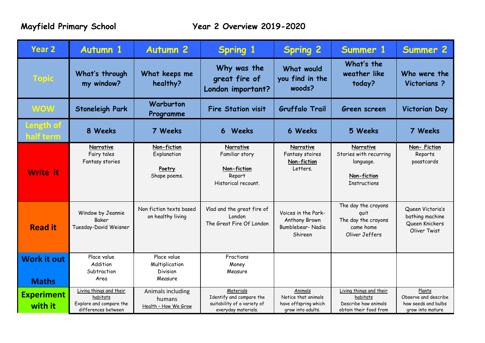| Year 2                             | <b>Autumn 1</b>                                                                       | <b>Autumn 2</b>                                      | <b>Spring 1</b>                                                                             | <b>Spring 2</b>                                                             | Summer 1                                                                               | <b>Summer 2</b>                                                           |
|------------------------------------|---------------------------------------------------------------------------------------|------------------------------------------------------|---------------------------------------------------------------------------------------------|-----------------------------------------------------------------------------|----------------------------------------------------------------------------------------|---------------------------------------------------------------------------|
| <b>Topic</b>                       | What's through<br>my window?                                                          | What keeps me<br>healthy?                            | Why was the<br>great fire of<br>London important?                                           | What would<br>you find in the<br>woods?                                     | What's the<br>weather like<br>today?                                                   | Who were the<br>Victorians?                                               |
| <b>WOW</b>                         | <b>Stoneleigh Park</b>                                                                | Warburton<br>Programme                               | <b>Fire Station visit</b>                                                                   | <b>Gruffalo Trail</b>                                                       | Green screen                                                                           | <b>Victorian Day</b>                                                      |
| ength of<br>half term              | 8 Weeks                                                                               | 7 Weeks                                              | Weeks<br>6 <sup>1</sup>                                                                     | 6 Weeks                                                                     | 5 Weeks                                                                                | 7 Weeks                                                                   |
| <b>Write</b> it                    | Narrative<br>Fairy tales<br>Fantasy stories                                           | Non-fiction<br>Explanation<br>Poetry<br>Shape poems. | Narrative<br>Familiar story<br>Non-fiction<br>Report<br>Historical recount.                 | Narrative<br>Fantasy stoires<br>Non-fiction<br>Letters.                     | Narrative<br>Stories with recurring<br>language.<br>Non-fiction<br><b>Instructions</b> | Non-Fiction<br>Reports<br>poastcards                                      |
| <b>Read it</b>                     | Window by Jeannie<br>Baker<br>Tuesday-David Weisner                                   | Non fiction texts based<br>on healthy living         | Vlad and the great fire of<br>London<br>The Great Fire Of London                            | Voices in the Park-<br>Anthony Brown<br>Bumblebear-Nadia<br>Shireen         | The day the crayons<br>quit<br>The day the crayons<br>came home<br>Oliver Jeffers      | Queen Victoria's<br>bathing machine<br>Queen Knickers<br>Oliver Twist     |
| <b>Work it out</b><br><b>Maths</b> | Place value<br>Addition<br>Subtraction<br>Area                                        | Place value<br>Multiplication<br>Division<br>Measure | Fractions<br>Money<br>Measure                                                               |                                                                             |                                                                                        |                                                                           |
| <b>Experiment</b><br>with it       | Living things and their<br>habitats<br>Explore and compare the<br>differences between | Animals including<br>humans<br>Health - How We Grow  | Materials<br>Identify and compare the<br>suitability of a variety of<br>everyday materials. | Animals<br>Notice that animals<br>have offspring which<br>grow into adults. | Living things and their<br>habitats<br>Describe how animals<br>obtain their food from  | Plants<br>Observe and describe<br>how seeds and bulbs<br>grow into mature |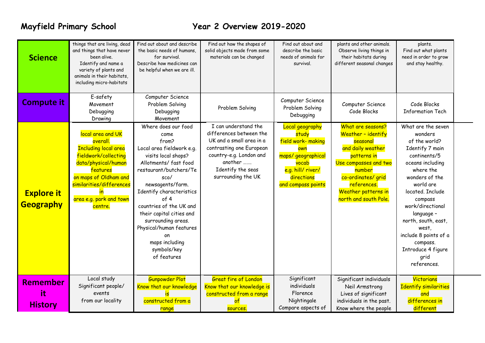# **Mayfield Primary School Year 2 Overview 2019-2020**

| E-safety<br>Computer Science<br>Computer Science<br><b>Compute it</b><br>Computer Science<br>Code Blocks<br>Movement<br>Problem Solving<br>Problem Solving<br>Problem Solving<br>Code Blocks<br><b>Information Tech</b><br>Debugging<br>Debugging<br>Debugging<br>Movement<br>Drawing<br>I can understand the<br>Where does our food<br>What are seasons?<br>What are the seven<br><b>Local geography</b><br>local area and UK<br>differences between the<br>Weather - identify<br>study<br>wonders<br>come<br>UK and a small area in a<br>field work- making<br>overall.<br>of the world?<br>from?<br>seasonal<br>contrasting one European<br><b>Including local area</b><br>Local area fieldwork e.g.<br>and daily weather<br>Identify 7 main<br>own                                                                                                                                                                                                                                                                                                                                         |  |
|------------------------------------------------------------------------------------------------------------------------------------------------------------------------------------------------------------------------------------------------------------------------------------------------------------------------------------------------------------------------------------------------------------------------------------------------------------------------------------------------------------------------------------------------------------------------------------------------------------------------------------------------------------------------------------------------------------------------------------------------------------------------------------------------------------------------------------------------------------------------------------------------------------------------------------------------------------------------------------------------------------------------------------------------------------------------------------------------|--|
|                                                                                                                                                                                                                                                                                                                                                                                                                                                                                                                                                                                                                                                                                                                                                                                                                                                                                                                                                                                                                                                                                                |  |
| country-e.g. London and<br>fieldwork/collecting<br>visits local shops?<br>maps/geographical<br>patterns in<br>continents/5<br>another<br>data/physical/human<br>Allotments/fast food<br>Use compasses and two<br>vocab<br>oceans including<br>Identify the seas<br>features<br>restaurant/butchers/Te<br>e.g. hill/ river/<br>number<br>where the<br>surrounding the UK<br>on maps of Oldham and<br>directions<br>co-ordinates/ grid<br>sco/<br>wonders of the<br>similarities/differences<br>newsagents/farm.<br>and compass points<br>references.<br>world are<br>Weather patterns in<br>Identify characteristics<br>located, Include<br><b>Explore it</b><br>$\mathsf{In}$<br>area e.g. park and town<br>of 4<br>north and south Pole.<br>compass<br>Geography<br>countries of the UK and<br>work/directional<br>centre.<br>their capital cities and<br>language -<br>surrounding areas.<br>north, south, east,<br>Physical/human features<br>west,<br>include 8 points of a<br>on<br>maps including<br>compass.<br>symbols/key<br>Introduce 4 figure<br>of features<br>grid<br>references. |  |
| Significant<br><b>Gunpowder Plot</b><br><b>Great fire of London</b><br>Local study<br>Significant individuals<br>Victorians<br><b>Remember</b><br>Significant people/<br>individuals<br>Know that our knowledge is<br>Know that our knowledge<br><b>Identify similarities</b><br>Neil Armstrong<br>it<br>events<br>Florence<br>constructed from a range<br>Lives of significant<br>and<br>from our locality<br>Nightingale<br>constructed from a<br>differences in<br>$\mathsf{of}$<br>individuals in the past.<br><b>History</b><br>Compare aspects of<br>different<br>Know where the people                                                                                                                                                                                                                                                                                                                                                                                                                                                                                                  |  |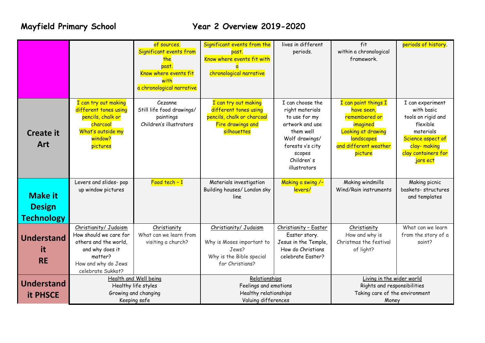# **Mayfield Primary School Year 2 Overview 2019-2020**

|                                      |                                                                                                                                                    | of sources.<br>Significant events from<br>the<br>past.<br>Know where events fit<br>with<br>a chronological narrative | Significant events from the<br>past.<br>Know where events fit with<br>chronological narrative                          | lives in different<br>periods.                                                                                                                                     | fit<br>within a chronological<br>framework.                                                                                                    | periods of history.                                                                                                                                  |
|--------------------------------------|----------------------------------------------------------------------------------------------------------------------------------------------------|----------------------------------------------------------------------------------------------------------------------|------------------------------------------------------------------------------------------------------------------------|--------------------------------------------------------------------------------------------------------------------------------------------------------------------|------------------------------------------------------------------------------------------------------------------------------------------------|------------------------------------------------------------------------------------------------------------------------------------------------------|
| <b>Create it</b><br><b>Art</b>       | I can try out making<br>different tones using<br>pencils, chalk or<br>charcoal<br>What's outside my<br>window?<br>pictures                         | Cezanne<br>Still life food drawings/<br>paintings<br>Children's illustrators                                         | I can try out making<br>different tones using<br>pencils, chalk or charcoal<br><b>Fire drawings and</b><br>silhouettes | I can choose the<br>right materials<br>to use for my<br>artwork and use<br>them well<br>Wolf drawings/<br>forests v's city<br>scopes<br>Children's<br>illustrators | I can paint things I<br>have seen,<br>remembered or<br>imagined<br>Looking at drawing<br><b>landscapes</b><br>and different weather<br>picture | I can experiment<br>with basic<br>tools on rigid and<br>flexible<br>materials<br>Science aspect of<br>clay-making<br>clay containers for<br>jars ect |
| <b>Make it</b>                       | Levers and slides- pop<br>up window pictures                                                                                                       | $Food tech - 1$                                                                                                      | Materials investigation<br>Building houses/ London sky<br>line                                                         | Making a swing /-<br>levers/                                                                                                                                       | Making windmills<br>Wind/Rain instruments                                                                                                      | Making picnic<br>baskets-structures<br>and templates                                                                                                 |
| <b>Design</b><br><b>Technology</b>   |                                                                                                                                                    |                                                                                                                      |                                                                                                                        |                                                                                                                                                                    |                                                                                                                                                |                                                                                                                                                      |
| <b>Understand</b><br>it<br><b>RE</b> | Christianity/ Judaism<br>How should we care for<br>others and the world.<br>and why does it<br>matter?<br>How and why do Jews<br>celebrate Sukkot? | Christianity<br>What can we learn from<br>visiting a church?                                                         | Christianity/ Judaism<br>Why is Moses important to<br>Jews?<br>Why is the Bible special<br>for Christians?             | Christianity - Easter<br>Easter story.<br>Jesus in the Temple,<br>How do Christians<br>celebrate Easter?                                                           | Christianity<br>How and why is<br>Christmas the festival<br>of light?                                                                          | What can we learn<br>from the story of a<br>saint?                                                                                                   |
| <b>Understand</b><br><b>it PHSCE</b> | <b>Health and Well being</b><br>Healthy life styles<br>Growing and changing<br>Keeping safe                                                        |                                                                                                                      | Relationships<br>Feelings and emotions<br>Healthy relationships<br>Valuing differences                                 |                                                                                                                                                                    | Living in the wider world<br>Rights and responsibilities<br>Taking care of the environment<br>Money                                            |                                                                                                                                                      |